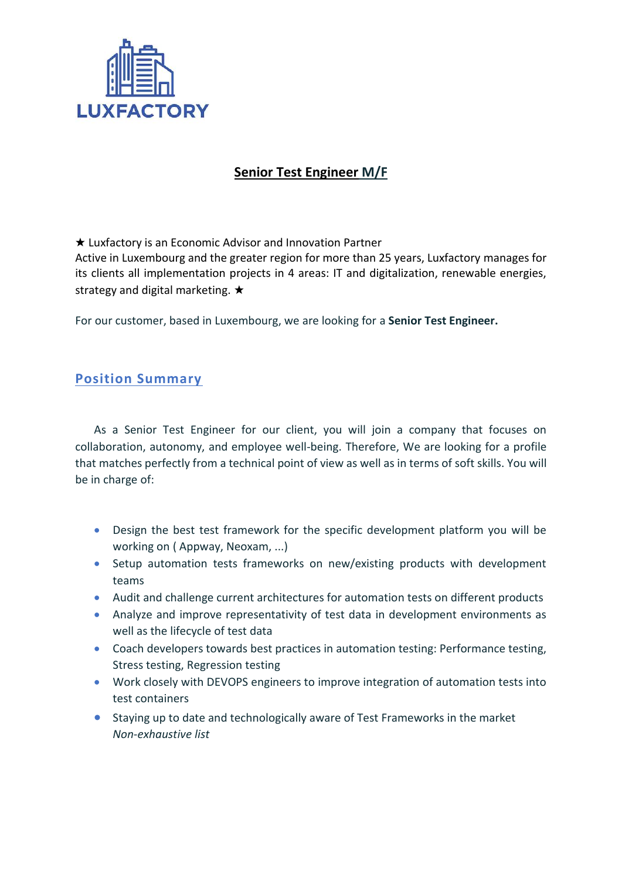

## **Senior Test Engineer M/F**

★ Luxfactory is an Economic Advisor and Innovation Partner

Active in Luxembourg and the greater region for more than 25 years, Luxfactory manages for its clients all implementation projects in 4 areas: IT and digitalization, renewable energies, strategy and digital marketing. ★

For our customer, based in Luxembourg, we are looking for a **Senior Test Engineer.**

## **Position Summary**

As a Senior Test Engineer for our client, you will join a company that focuses on collaboration, autonomy, and employee well-being. Therefore, We are looking for a profile that matches perfectly from a technical point of view as well as in terms of soft skills. You will be in charge of:

- Design the best test framework for the specific development platform you will be working on ( Appway, Neoxam, ...)
- Setup automation tests frameworks on new/existing products with development teams
- Audit and challenge current architectures for automation tests on different products
- Analyze and improve representativity of test data in development environments as well as the lifecycle of test data
- Coach developers towards best practices in automation testing: Performance testing, Stress testing, Regression testing
- Work closely with DEVOPS engineers to improve integration of automation tests into test containers
- Staying up to date and technologically aware of Test Frameworks in the market *Non-exhaustive list*